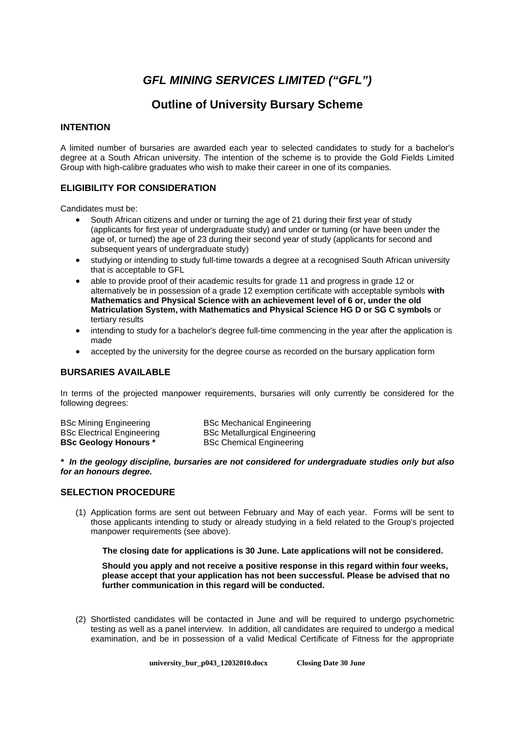# *GFL MINING SERVICES LIMITED ("GFL")*

# **Outline of University Bursary Scheme**

#### **INTENTION**

A limited number of bursaries are awarded each year to selected candidates to study for a bachelor's degree at a South African university. The intention of the scheme is to provide the Gold Fields Limited Group with high-calibre graduates who wish to make their career in one of its companies.

# **ELIGIBILITY FOR CONSIDERATION**

Candidates must be:

- South African citizens and under or turning the age of 21 during their first year of study (applicants for first year of undergraduate study) and under or turning (or have been under the age of, or turned) the age of 23 during their second year of study (applicants for second and subsequent years of undergraduate study)
- studying or intending to study full-time towards a degree at a recognised South African university that is acceptable to GFL
- able to provide proof of their academic results for grade 11 and progress in grade 12 or alternatively be in possession of a grade 12 exemption certificate with acceptable symbols **with Mathematics and Physical Science with an achievement level of 6 or, under the old Matriculation System, with Mathematics and Physical Science HG D or SG C symbols** or tertiary results
- intending to study for a bachelor's degree full-time commencing in the year after the application is made
- accepted by the university for the degree course as recorded on the bursary application form

# **BURSARIES AVAILABLE**

In terms of the projected manpower requirements, bursaries will only currently be considered for the following degrees:

| <b>BSc Mining Engineering</b>     | <b>BSc Mechanical Engineering</b>    |
|-----------------------------------|--------------------------------------|
| <b>BSc Electrical Engineering</b> | <b>BSc Metallurgical Engineering</b> |
| <b>BSc Geology Honours *</b>      | <b>BSc Chemical Engineering</b>      |

#### *\* In the geology discipline, bursaries are not considered for undergraduate studies only but also for an honours degree.*

#### **SELECTION PROCEDURE**

(1) Application forms are sent out between February and May of each year. Forms will be sent to those applicants intending to study or already studying in a field related to the Group's projected manpower requirements (see above).

 **The closing date for applications is 30 June. Late applications will not be considered.** 

**Should you apply and not receive a positive response in this regard within four weeks, please accept that your application has not been successful. Please be advised that no further communication in this regard will be conducted.** 

(2) Shortlisted candidates will be contacted in June and will be required to undergo psychometric testing as well as a panel interview. In addition, all candidates are required to undergo a medical examination, and be in possession of a valid Medical Certificate of Fitness for the appropriate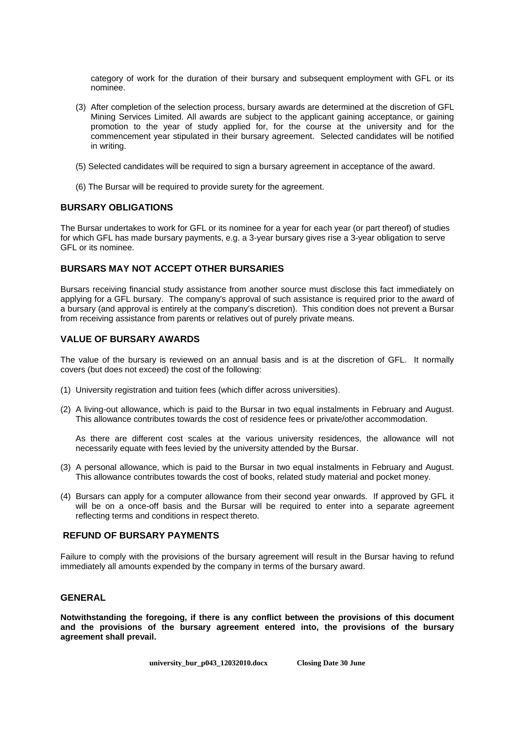category of work for the duration of their bursary and subsequent employment with GFL or its nominee.

- (3) After completion of the selection process, bursary awards are determined at the discretion of GFL Mining Services Limited. All awards are subject to the applicant gaining acceptance, or gaining promotion to the year of study applied for, for the course at the university and for the commencement year stipulated in their bursary agreement. Selected candidates will be notified in writing.
- (5) Selected candidates will be required to sign a bursary agreement in acceptance of the award.
- (6) The Bursar will be required to provide surety for the agreement.

#### **BURSARY OBLIGATIONS**

The Bursar undertakes to work for GFL or its nominee for a year for each year (or part thereof) of studies for which GFL has made bursary payments, e.g. a 3-year bursary gives rise a 3-year obligation to serve GFL or its nominee.

#### **BURSARS MAY NOT ACCEPT OTHER BURSARIES**

Bursars receiving financial study assistance from another source must disclose this fact immediately on applying for a GFL bursary. The company's approval of such assistance is required prior to the award of a bursary (and approval is entirely at the company's discretion). This condition does not prevent a Bursar from receiving assistance from parents or relatives out of purely private means.

#### **VALUE OF BURSARY AWARDS**

The value of the bursary is reviewed on an annual basis and is at the discretion of GFL. It normally covers (but does not exceed) the cost of the following:

- (1) University registration and tuition fees (which differ across universities).
- (2) A living-out allowance, which is paid to the Bursar in two equal instalments in February and August. This allowance contributes towards the cost of residence fees or private/other accommodation.

As there are different cost scales at the various university residences, the allowance will not necessarily equate with fees levied by the university attended by the Bursar.

- (3) A personal allowance, which is paid to the Bursar in two equal instalments in February and August. This allowance contributes towards the cost of books, related study material and pocket money.
- (4) Bursars can apply for a computer allowance from their second year onwards. If approved by GFL it will be on a once-off basis and the Bursar will be required to enter into a separate agreement reflecting terms and conditions in respect thereto.

#### **REFUND OF BURSARY PAYMENTS**

Failure to comply with the provisions of the bursary agreement will result in the Bursar having to refund immediately all amounts expended by the company in terms of the bursary award.

#### **GENERAL**

**Notwithstanding the foregoing, if there is any conflict between the provisions of this document and the provisions of the bursary agreement entered into, the provisions of the bursary agreement shall prevail.**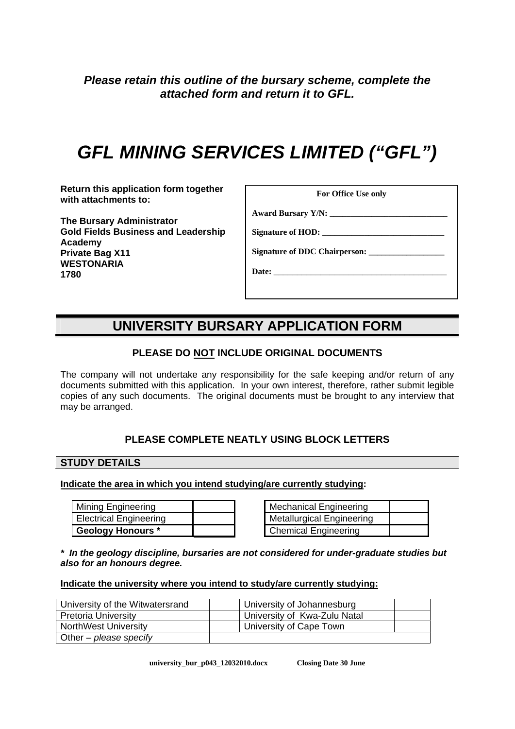*Please retain this outline of the bursary scheme, complete the attached form and return it to GFL.* 

# *GFL MINING SERVICES LIMITED ("GFL")*

**Return this application form together with attachments to:** 

**The Bursary Administrator Gold Fields Business and Leadership Academy Private Bag X11 WESTONARIA 1780** 

| For Office Use only |  |  |
|---------------------|--|--|
|---------------------|--|--|

**Award Bursary Y/N: \_\_\_\_\_\_\_\_\_\_\_\_\_\_\_\_\_\_\_\_\_\_\_\_\_\_\_\_** 

Signature of HOD:

Signature of **DDC** Chairperson:

**Date: \_\_\_\_\_\_\_\_\_\_\_\_\_\_\_\_\_\_\_\_\_\_\_\_\_\_\_\_\_\_\_\_\_\_\_\_\_**

# **UNIVERSITY BURSARY APPLICATION FORM**

# **PLEASE DO NOT INCLUDE ORIGINAL DOCUMENTS**

The company will not undertake any responsibility for the safe keeping and/or return of any documents submitted with this application. In your own interest, therefore, rather submit legible copies of any such documents. The original documents must be brought to any interview that may be arranged.

# **PLEASE COMPLETE NEATLY USING BLOCK LETTERS**

# **STUDY DETAILS**

#### **Indicate the area in which you intend studying/are currently studying:**

| Mining Engineering       |  | Mechanical Engineering           |
|--------------------------|--|----------------------------------|
| Electrical Engineering   |  | <b>Metallurgical Engineering</b> |
| <b>Geology Honours *</b> |  | <b>Chemical Engineering</b>      |

| <b>Mechanical Engineering</b>    |  |
|----------------------------------|--|
| <b>Metallurgical Engineering</b> |  |
| Chemical Engineering             |  |

*\* In the geology discipline, bursaries are not considered for under-graduate studies but also for an honours degree.* 

#### **Indicate the university where you intend to study/are currently studying:**

| University of the Witwatersrand | University of Johannesburg   |  |
|---------------------------------|------------------------------|--|
| Pretoria University             | University of Kwa-Zulu Natal |  |
| <b>NorthWest University</b>     | University of Cape Town      |  |
| Other – please specify          |                              |  |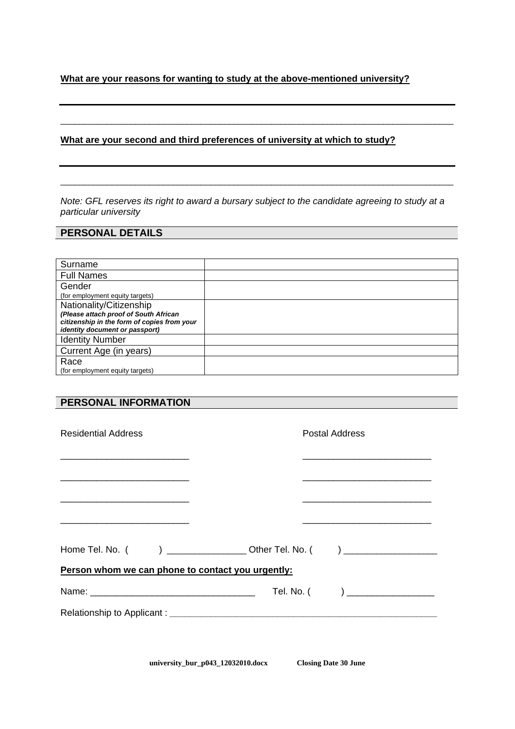# **What are your reasons for wanting to study at the above-mentioned university?**

#### **What are your second and third preferences of university at which to study?**

*Note: GFL reserves its right to award a bursary subject to the candidate agreeing to study at a particular university* 

\_\_\_\_\_\_\_\_\_\_\_\_\_\_\_\_\_\_\_\_\_\_\_\_\_\_\_\_\_\_\_\_\_\_\_\_\_\_\_\_\_\_\_\_\_\_\_\_\_\_\_\_\_\_\_\_\_\_\_\_\_\_\_\_\_\_\_\_\_\_\_\_\_\_\_\_\_\_\_\_\_\_\_\_

\_\_\_\_\_\_\_\_\_\_\_\_\_\_\_\_\_\_\_\_\_\_\_\_\_\_\_\_\_\_\_\_\_\_\_\_\_\_\_\_\_\_\_\_\_\_\_\_\_\_\_\_\_\_\_\_\_\_\_\_\_\_\_\_\_\_\_\_\_\_\_\_\_\_\_\_\_\_\_\_\_\_\_\_

# **PERSONAL DETAILS**

| Surname                                     |  |
|---------------------------------------------|--|
| <b>Full Names</b>                           |  |
| Gender                                      |  |
| (for employment equity targets)             |  |
| Nationality/Citizenship                     |  |
| (Please attach proof of South African       |  |
| citizenship in the form of copies from your |  |
| <i>identity document or passport)</i>       |  |
| <b>Identity Number</b>                      |  |
| Current Age (in years)                      |  |
| Race                                        |  |
| (for employment equity targets)             |  |

# **PERSONAL INFORMATION**

| <b>Residential Address</b>                                                                                             | Postal Address                    |
|------------------------------------------------------------------------------------------------------------------------|-----------------------------------|
|                                                                                                                        |                                   |
|                                                                                                                        |                                   |
| <u> 1980 - Johann John Stone, market fan it ferskearre fan it ferskearre fan it ferskearre fan it ferskearre fan i</u> |                                   |
| Home Tel. No. ( ) _____________________Other Tel. No. ( ) ______________________                                       |                                   |
| Person whom we can phone to contact you urgently:                                                                      |                                   |
|                                                                                                                        | Tel. No. $($ ) __________________ |
|                                                                                                                        |                                   |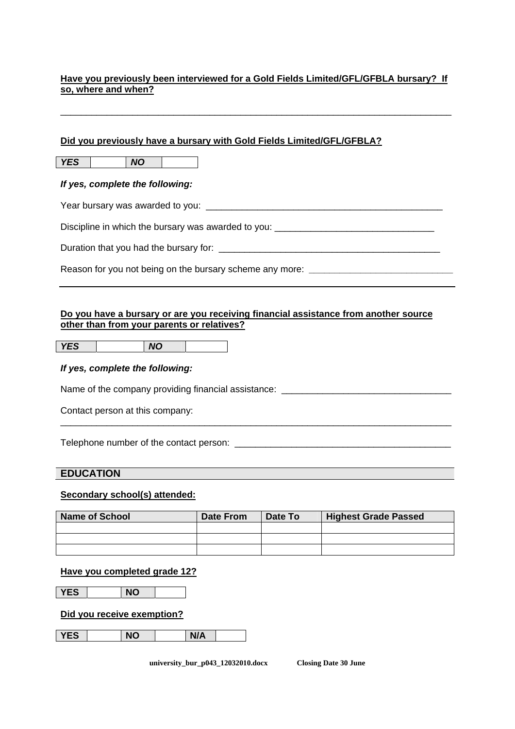# **Have you previously been interviewed for a Gold Fields Limited/GFL/GFBLA bursary? If so, where and when?**

\_\_\_\_\_\_\_\_\_\_\_\_\_\_\_\_\_\_\_\_\_\_\_\_\_\_\_\_\_\_\_\_\_\_\_\_\_\_\_\_\_\_\_\_\_\_\_\_\_\_\_\_\_\_\_\_\_\_\_\_\_\_\_\_\_\_\_\_\_\_\_\_\_\_\_\_

# **Did you previously have a bursary with Gold Fields Limited/GFL/GFBLA?**

*YES NO* 

## *If yes, complete the following:*

Year bursary was awarded to you: **We are all that in the set of the set of the set of the set of the set of the set of the set of the set of the set of the set of the set of the set of the set of the set of the set of the** 

Discipline in which the bursary was awarded to you:

Duration that you had the bursary for: \_\_\_\_\_\_\_\_\_\_\_\_\_\_\_\_\_\_\_\_\_\_\_\_\_\_\_\_\_\_\_\_\_\_\_\_\_\_\_\_\_\_\_

Reason for you not being on the bursary scheme any more: *\_\_\_\_\_\_\_\_\_\_\_\_\_\_\_\_\_\_\_\_\_\_\_\_\_\_\_\_* 

#### **Do you have a bursary or are you receiving financial assistance from another source other than from your parents or relatives?**

*YES NO* 

## *If yes, complete the following:*

Name of the company providing financial assistance: \_\_\_\_\_\_\_\_\_\_\_\_\_\_\_\_\_\_\_\_\_\_\_\_\_\_\_\_

Contact person at this company:

Telephone number of the contact person: \_\_\_\_\_\_\_\_\_\_\_\_\_\_\_\_\_\_\_\_\_\_\_\_\_\_\_\_\_\_\_\_\_\_\_\_\_\_\_\_\_\_

# **EDUCATION**

#### **Secondary school(s) attended:**

| <b>Name of School</b> | <b>Date From</b> | Date To | <b>Highest Grade Passed</b> |
|-----------------------|------------------|---------|-----------------------------|
|                       |                  |         |                             |
|                       |                  |         |                             |
|                       |                  |         |                             |

\_\_\_\_\_\_\_\_\_\_\_\_\_\_\_\_\_\_\_\_\_\_\_\_\_\_\_\_\_\_\_\_\_\_\_\_\_\_\_\_\_\_\_\_\_\_\_\_\_\_\_\_\_\_\_\_\_\_\_\_\_\_\_\_\_\_\_\_\_\_\_\_\_\_\_\_

#### **Have you completed grade 12?**

**YES** NO

**Did you receive exemption?**

| <b>YES</b> | <b>NO</b> | N/A |  |
|------------|-----------|-----|--|
|            |           |     |  |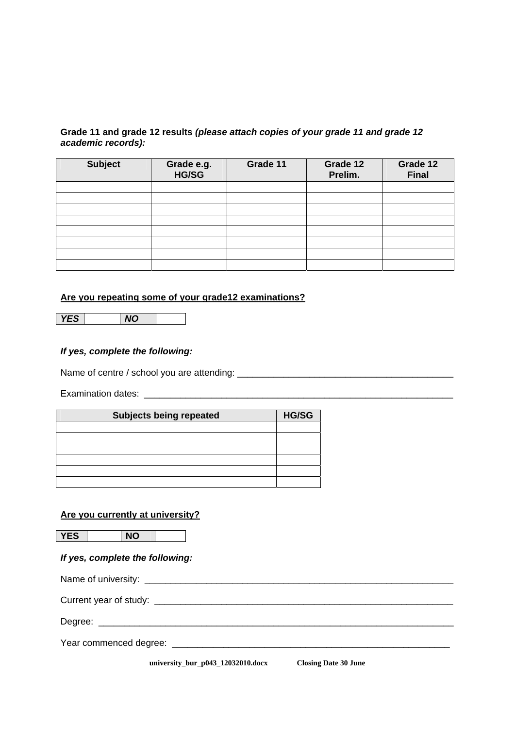# **Grade 11 and grade 12 results** *(please attach copies of your grade 11 and grade 12 academic records):*

| <b>Subject</b> | Grade e.g.<br>HG/SG | Grade 11 | Grade 12<br>Prelim. | Grade 12<br><b>Final</b> |
|----------------|---------------------|----------|---------------------|--------------------------|
|                |                     |          |                     |                          |
|                |                     |          |                     |                          |
|                |                     |          |                     |                          |
|                |                     |          |                     |                          |
|                |                     |          |                     |                          |
|                |                     |          |                     |                          |
|                |                     |          |                     |                          |
|                |                     |          |                     |                          |

#### **Are you repeating some of your grade12 examinations?**

*YES NO* 

#### *If yes, complete the following:*

Name of centre / school you are attending: \_\_\_\_\_\_\_\_\_\_\_\_\_\_\_\_\_\_\_\_\_\_\_\_\_\_\_\_\_\_\_\_\_\_\_\_\_\_\_\_\_\_

Examination dates: \_\_\_\_\_\_\_\_\_\_\_\_\_\_\_\_\_\_\_\_\_\_\_\_\_\_\_\_\_\_\_\_\_\_\_\_\_\_\_\_\_\_\_\_\_\_\_\_\_\_\_\_\_\_\_\_\_\_\_\_

| <b>Subjects being repeated</b> | <b>HG/SG</b> |
|--------------------------------|--------------|
|                                |              |
|                                |              |
|                                |              |
|                                |              |
|                                |              |
|                                |              |

# **Are you currently at university?**

YES NO

# *If yes, complete the following:*

Name of university: \_\_\_\_\_\_\_\_\_\_\_\_\_\_\_\_\_\_\_\_\_\_\_\_\_\_\_\_\_\_\_\_\_\_\_\_\_\_\_\_\_\_\_\_\_\_\_\_\_\_\_\_\_\_\_\_\_\_\_\_ Current year of study: \_\_\_\_\_\_\_\_\_\_\_\_\_\_\_\_\_\_\_\_\_\_\_\_\_\_\_\_\_\_\_\_\_\_\_\_\_\_\_\_\_\_\_\_\_\_\_\_\_\_\_\_\_\_\_\_\_\_ Degree: \_\_\_\_\_\_\_\_\_\_\_\_\_\_\_\_\_\_\_\_\_\_\_\_\_\_\_\_\_\_\_\_\_\_\_\_\_\_\_\_\_\_\_\_\_\_\_\_\_\_\_\_\_\_\_\_\_\_\_\_\_\_\_\_\_\_\_\_\_ Year commenced degree: \_\_\_\_\_\_\_\_\_\_\_\_\_\_\_\_\_\_\_\_\_\_\_\_\_\_\_\_\_\_\_\_\_\_\_\_\_\_\_\_\_\_\_\_\_\_\_\_\_\_\_\_\_\_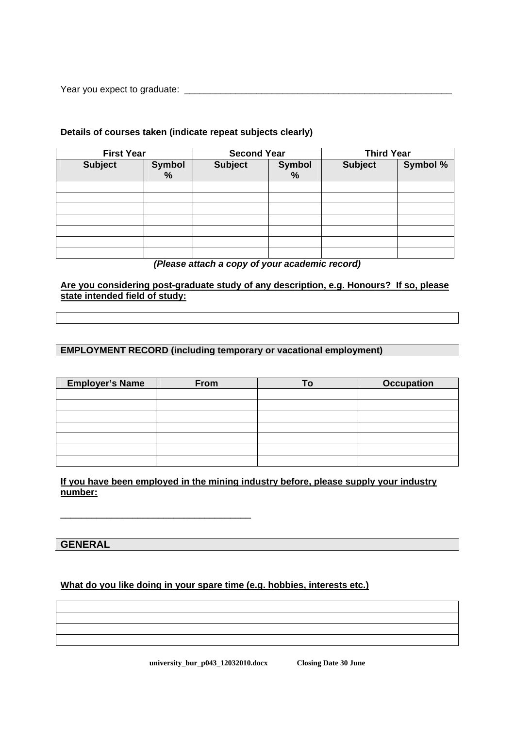Year you expect to graduate: \_\_\_\_\_\_\_\_\_\_\_\_\_\_\_\_\_\_\_\_\_\_\_\_\_\_\_\_\_\_\_\_\_\_\_\_\_\_\_\_\_\_\_\_\_\_\_\_\_\_\_\_

## **Details of courses taken (indicate repeat subjects clearly)**

|                | <b>First Year</b> |                | <b>Second Year</b> |                | <b>Third Year</b> |
|----------------|-------------------|----------------|--------------------|----------------|-------------------|
| <b>Subject</b> | Symbol<br>%       | <b>Subject</b> | <b>Symbol</b><br>% | <b>Subject</b> | Symbol %          |
|                |                   |                |                    |                |                   |
|                |                   |                |                    |                |                   |
|                |                   |                |                    |                |                   |
|                |                   |                |                    |                |                   |
|                |                   |                |                    |                |                   |
|                |                   |                |                    |                |                   |
|                |                   |                |                    |                |                   |

#### *(Please attach a copy of your academic record)*

**Are you considering post-graduate study of any description, e.g. Honours? If so, please state intended field of study:**

#### **EMPLOYMENT RECORD (including temporary or vacational employment)**

| <b>Employer's Name</b> | From | $T_{\Omega}$ | <b>Occupation</b> |
|------------------------|------|--------------|-------------------|
|                        |      |              |                   |
|                        |      |              |                   |
|                        |      |              |                   |
|                        |      |              |                   |
|                        |      |              |                   |
|                        |      |              |                   |
|                        |      |              |                   |

# **If you have been employed in the mining industry before, please supply your industry number:**

# **GENERAL**

# **What do you like doing in your spare time (e.g. hobbies, interests etc.)**

\_\_\_\_\_\_\_\_\_\_\_\_\_\_\_\_\_\_\_\_\_\_\_\_\_\_\_\_\_\_\_\_\_\_\_\_\_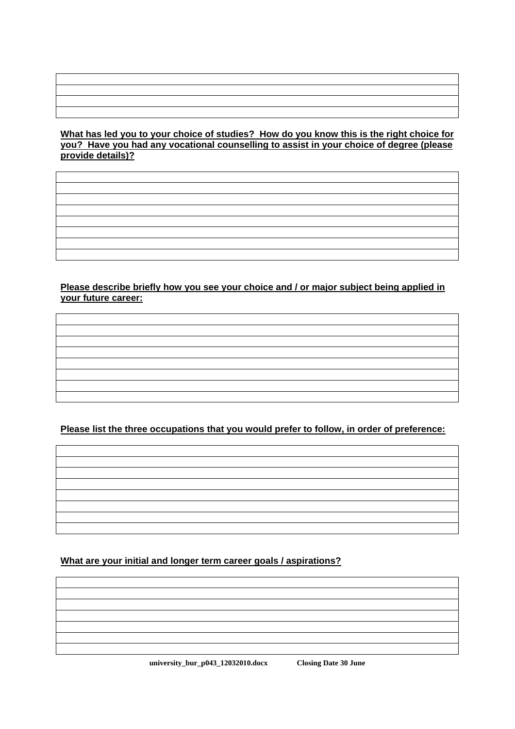# **What has led you to your choice of studies? How do you know this is the right choice for you? Have you had any vocational counselling to assist in your choice of degree (please provide details)?**

# **Please describe briefly how you see your choice and / or major subject being applied in your future career:**

**Please list the three occupations that you would prefer to follow, in order of preference:**



# **What are your initial and longer term career goals / aspirations?**